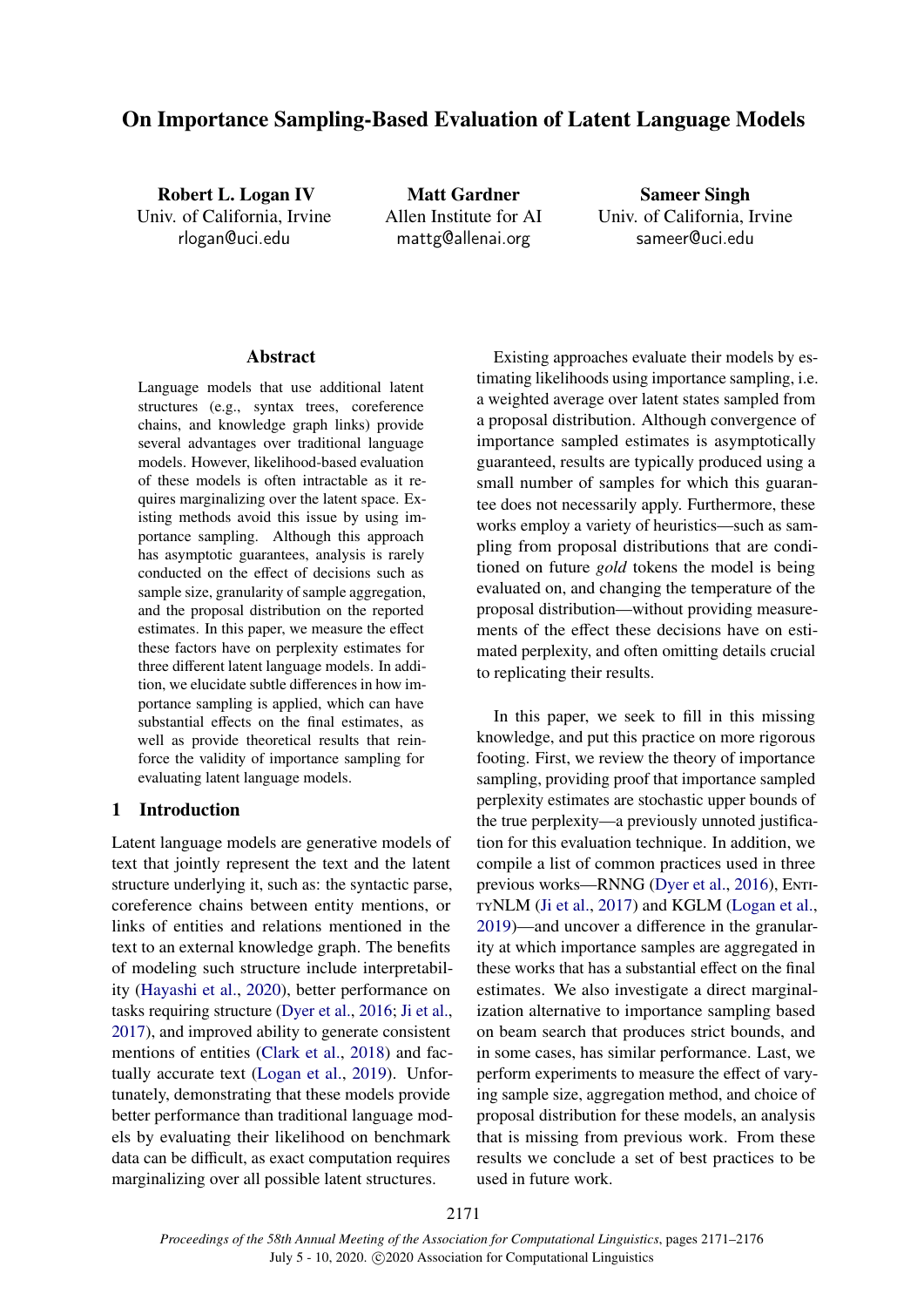# On Importance Sampling-Based Evaluation of Latent Language Models

Robert L. Logan IV Univ. of California, Irvine [rlogan@uci.edu](mailto:rlogan@uci.edu)

Matt Gardner Allen Institute for AI [mattg@allenai.org](mailto:mattg@allenai.org)

Sameer Singh Univ. of California, Irvine [sameer@uci.edu](mailto:sameer@uci.edu)

## Abstract

Language models that use additional latent structures (e.g., syntax trees, coreference chains, and knowledge graph links) provide several advantages over traditional language models. However, likelihood-based evaluation of these models is often intractable as it requires marginalizing over the latent space. Existing methods avoid this issue by using importance sampling. Although this approach has asymptotic guarantees, analysis is rarely conducted on the effect of decisions such as sample size, granularity of sample aggregation, and the proposal distribution on the reported estimates. In this paper, we measure the effect these factors have on perplexity estimates for three different latent language models. In addition, we elucidate subtle differences in how importance sampling is applied, which can have substantial effects on the final estimates, as well as provide theoretical results that reinforce the validity of importance sampling for evaluating latent language models.

## 1 Introduction

Latent language models are generative models of text that jointly represent the text and the latent structure underlying it, such as: the syntactic parse, coreference chains between entity mentions, or links of entities and relations mentioned in the text to an external knowledge graph. The benefits of modeling such structure include interpretability [\(Hayashi et al.,](#page-5-0) [2020\)](#page-5-0), better performance on tasks requiring structure [\(Dyer et al.,](#page-5-1) [2016;](#page-5-1) [Ji et al.,](#page-5-2) [2017\)](#page-5-2), and improved ability to generate consistent mentions of entities [\(Clark et al.,](#page-5-3) [2018\)](#page-5-3) and factually accurate text [\(Logan et al.,](#page-5-4) [2019\)](#page-5-4). Unfortunately, demonstrating that these models provide better performance than traditional language models by evaluating their likelihood on benchmark data can be difficult, as exact computation requires marginalizing over all possible latent structures.

Existing approaches evaluate their models by estimating likelihoods using importance sampling, i.e. a weighted average over latent states sampled from a proposal distribution. Although convergence of importance sampled estimates is asymptotically guaranteed, results are typically produced using a small number of samples for which this guarantee does not necessarily apply. Furthermore, these works employ a variety of heuristics—such as sampling from proposal distributions that are conditioned on future *gold* tokens the model is being evaluated on, and changing the temperature of the proposal distribution—without providing measurements of the effect these decisions have on estimated perplexity, and often omitting details crucial to replicating their results.

In this paper, we seek to fill in this missing knowledge, and put this practice on more rigorous footing. First, we review the theory of importance sampling, providing proof that importance sampled perplexity estimates are stochastic upper bounds of the true perplexity—a previously unnoted justification for this evaluation technique. In addition, we compile a list of common practices used in three previous works—RNNG [\(Dyer et al.,](#page-5-1) [2016\)](#page-5-1), ENTItyNLM [\(Ji et al.,](#page-5-2) [2017\)](#page-5-2) and KGLM [\(Logan et al.,](#page-5-4) [2019\)](#page-5-4)—and uncover a difference in the granularity at which importance samples are aggregated in these works that has a substantial effect on the final estimates. We also investigate a direct marginalization alternative to importance sampling based on beam search that produces strict bounds, and in some cases, has similar performance. Last, we perform experiments to measure the effect of varying sample size, aggregation method, and choice of proposal distribution for these models, an analysis that is missing from previous work. From these results we conclude a set of best practices to be used in future work.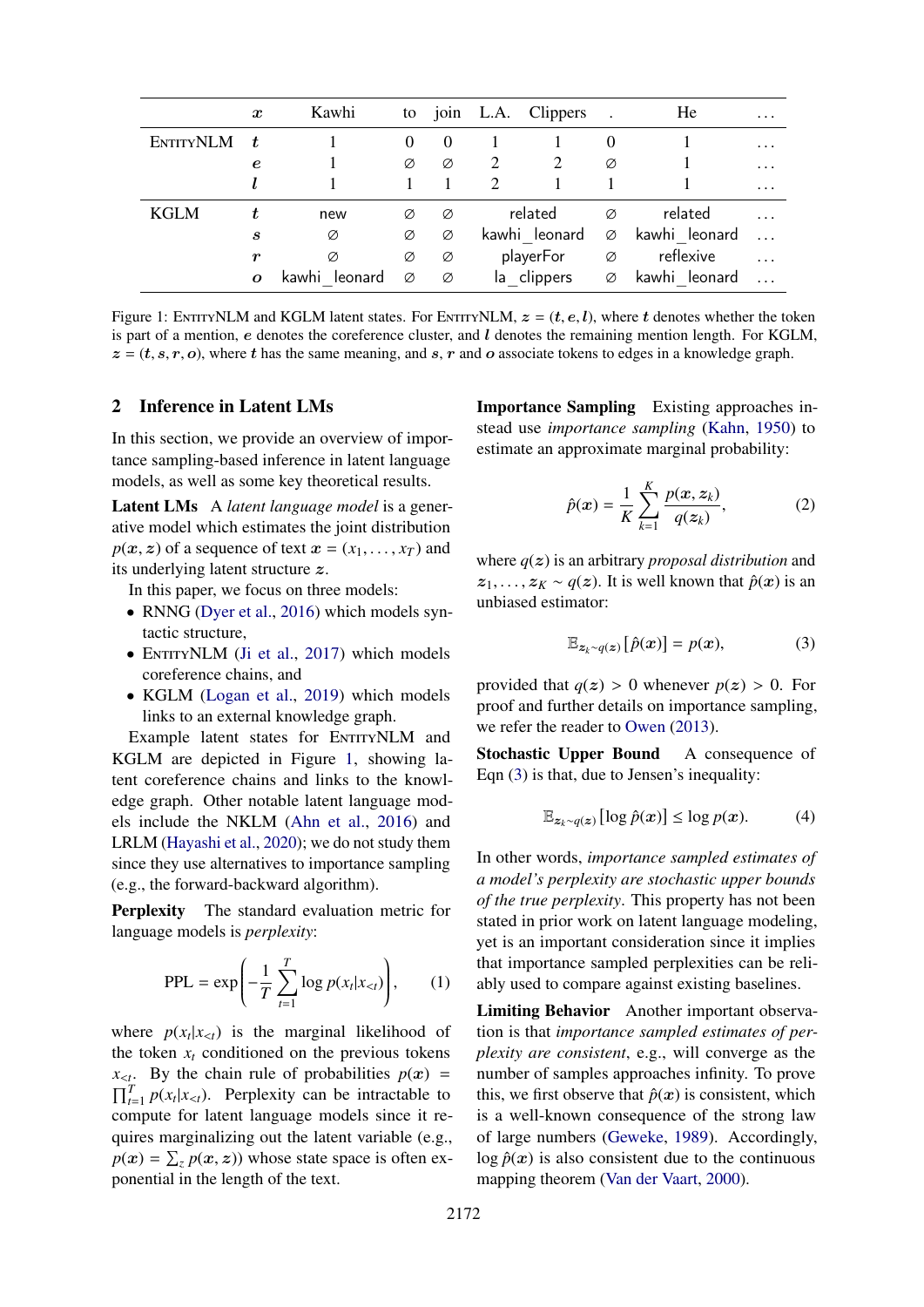<span id="page-1-0"></span>

|                  | $\boldsymbol{x}$ | Kawhi            | to       |          |               | join L.A. Clippers |          | He               | $\cdots$ |
|------------------|------------------|------------------|----------|----------|---------------|--------------------|----------|------------------|----------|
| <b>ENTITYNLM</b> | t.               |                  | $\theta$ | $\theta$ |               |                    | $\theta$ |                  | $\cdots$ |
|                  | e                |                  | Ø        | Ø        | 2             | 2                  | Ø        |                  | $\cdots$ |
|                  |                  |                  |          |          | $\mathcal{D}$ |                    |          |                  | $\cdots$ |
| <b>KGLM</b>      |                  | new              | Ø        | Ø        |               | related            | Ø        | related          | $\cdots$ |
|                  | $\boldsymbol{s}$ | Ø                | Ø        | Ø        |               | kawhi leonard      | Ø        | kawhi leonard    | $\cdots$ |
|                  | r                | Ø                | Ø        | Ø        |               | playerFor          | Ø        | reflexive        | $\cdots$ |
|                  | $\boldsymbol{o}$ | kawhi<br>leonard | Ø        | Ø        |               | la clippers        | Ø        | kawhi<br>leonard | $\cdots$ |

Figure 1: ENTITYNLM and KGLM latent states. For ENTITYNLM,  $z = (t, e, l)$ , where t denotes whether the token is part of a mention, e denotes the coreference cluster, and  $l$  denotes the remaining mention length. For KGLM,  $z = (t, s, r, o)$ , where t has the same meaning, and s, r and o associate tokens to edges in a knowledge graph.

## 2 Inference in Latent LMs

In this section, we provide an overview of importance sampling-based inference in latent language models, as well as some key theoretical results.

Latent LMs A *latent language model* is a generative model which estimates the joint distribution  $p(x, z)$  of a sequence of text  $x = (x_1, \ldots, x_T)$  and its underlying latent structure z.

In this paper, we focus on three models:

- RNNG [\(Dyer et al.,](#page-5-1) [2016\)](#page-5-1) which models syntactic structure,
- ENTITYNLM [\(Ji et al.,](#page-5-2) [2017\)](#page-5-2) which models coreference chains, and
- KGLM [\(Logan et al.,](#page-5-4) [2019\)](#page-5-4) which models links to an external knowledge graph.

Example latent states for ENTITYNLM and KGLM are depicted in Figure [1,](#page-1-0) showing latent coreference chains and links to the knowledge graph. Other notable latent language models include the NKLM [\(Ahn et al.,](#page-5-5) [2016\)](#page-5-5) and LRLM [\(Hayashi et al.,](#page-5-0) [2020\)](#page-5-0); we do not study them since they use alternatives to importance sampling (e.g., the forward-backward algorithm).

Perplexity The standard evaluation metric for language models is *perplexity*:

<span id="page-1-4"></span>
$$
PPL = \exp\left(-\frac{1}{T}\sum_{t=1}^{T}\log p(x_t|x_{lt})\right),\qquad(1)
$$

where  $p(x_t|x_{lt})$  is the marginal likelihood of<br>the telem x conditioned on the maximum telement the token  $x_t$  conditioned on the previous tokens  $x_{\leq t}$ . By the chain rule of probabilities  $p(x) = \prod_{r=1}^{T} p(x|x_r)$ . **Demission** some beginning  $\prod_{t=1}^{T} p(x_t|x_{lt})$ . Perplexity can be intractable to compute for latent language models since it requires marginalizing out the latent variable (e.g.,  $p(x) = \sum_{z} p(x, z)$ ) whose state space is often ex-<br>popential in the length of the text ponential in the length of the text.

Importance Sampling Existing approaches instead use *importance sampling* [\(Kahn,](#page-5-6) [1950\)](#page-5-6) to estimate an approximate marginal probability:

<span id="page-1-3"></span>
$$
\hat{p}(\mathbf{x}) = \frac{1}{K} \sum_{k=1}^{K} \frac{p(\mathbf{x}, z_k)}{q(z_k)},
$$
\n(2)

where  $q(z)$  is an arbitrary *proposal distribution* and  $z_1, \ldots, z_K \sim q(z)$ . It is well known that  $\hat{p}(x)$  is an unbiased estimator:

<span id="page-1-1"></span>
$$
\mathbb{E}_{z_k \sim q(z)}\left[\hat{p}(x)\right] = p(x),\tag{3}
$$

provided that  $q(z) > 0$  whenever  $p(z) > 0$ . For proof and further details on importance sampling, we refer the reader to [Owen](#page-5-7) [\(2013\)](#page-5-7).

Stochastic Upper Bound A consequence of Eqn [\(3\)](#page-1-1) is that, due to Jensen's inequality:

<span id="page-1-2"></span>
$$
\mathbb{E}_{\mathbf{z}_k \sim q(\mathbf{z})} [\log \hat{p}(\mathbf{x})] \le \log p(\mathbf{x}). \tag{4}
$$

In other words, *importance sampled estimates of a model's perplexity are stochastic upper bounds of the true perplexity*. This property has not been stated in prior work on latent language modeling, yet is an important consideration since it implies that importance sampled perplexities can be reliably used to compare against existing baselines.

Limiting Behavior Another important observation is that *importance sampled estimates of perplexity are consistent*, e.g., will converge as the number of samples approaches infinity. To prove this, we first observe that  $\hat{p}(x)$  is consistent, which is a well-known consequence of the strong law of large numbers [\(Geweke,](#page-5-8) [1989\)](#page-5-8). Accordingly,  $\log \hat{p}(x)$  is also consistent due to the continuous mapping theorem [\(Van der Vaart,](#page-5-9) [2000\)](#page-5-9).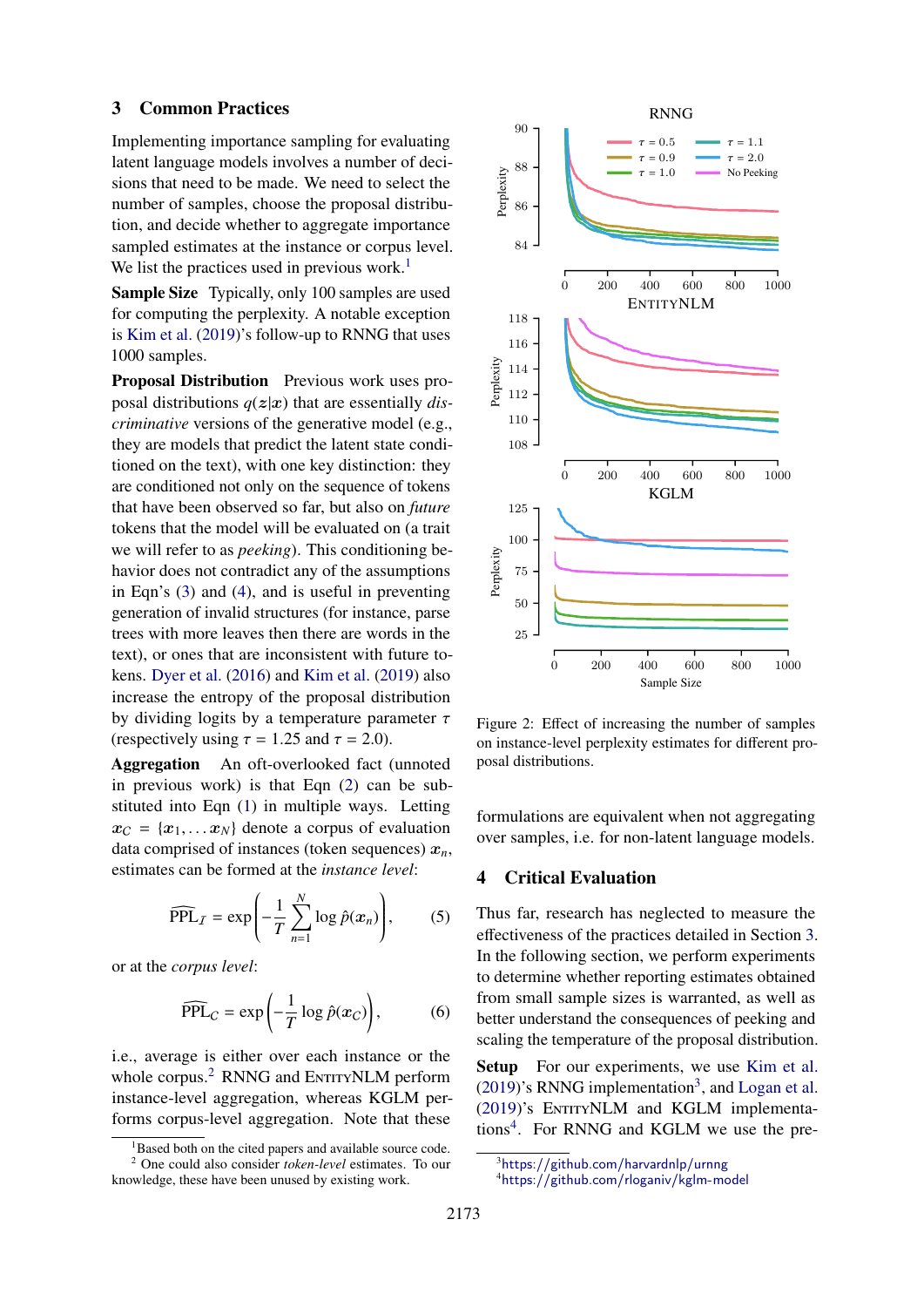#### <span id="page-2-2"></span>3 Common Practices

Implementing importance sampling for evaluating latent language models involves a number of decisions that need to be made. We need to select the number of samples, choose the proposal distribution, and decide whether to aggregate importance sampled estimates at the instance or corpus level. We list the practices used in previous work.<sup>[1](#page-2-0)</sup>

Sample Size Typically, only 100 samples are used for computing the perplexity. A notable exception is [Kim et al.](#page-5-10) [\(2019\)](#page-5-10)'s follow-up to RNNG that uses 1000 samples.

Proposal Distribution Previous work uses proposal distributions  $q(z|x)$  that are essentially *discriminative* versions of the generative model (e.g., they are models that predict the latent state conditioned on the text), with one key distinction: they are conditioned not only on the sequence of tokens that have been observed so far, but also on *future* tokens that the model will be evaluated on (a trait we will refer to as *peeking*). This conditioning behavior does not contradict any of the assumptions in Eqn's [\(3\)](#page-1-1) and [\(4\)](#page-1-2), and is useful in preventing generation of invalid structures (for instance, parse trees with more leaves then there are words in the text), or ones that are inconsistent with future tokens. [Dyer et al.](#page-5-1) [\(2016\)](#page-5-1) and [Kim et al.](#page-5-10) [\(2019\)](#page-5-10) also increase the entropy of the proposal distribution by dividing logits by a temperature parameter  $\tau$ (respectively using  $\tau = 1.25$  and  $\tau = 2.0$ ).<br>**Aggregation** An oft-overlooked fact (

An oft-overlooked fact (unnoted in previous work) is that Eqn [\(2\)](#page-1-3) can be substituted into Eqn [\(1\)](#page-1-4) in multiple ways. Letting  $x_C = \{x_1, \ldots x_N\}$  denote a corpus of evaluation data comprised of instances (token sequences)  $x_n$ , estimates can be formed at the *instance level*:

$$
\widehat{\text{PPL}}_I = \exp\left(-\frac{1}{T} \sum_{n=1}^N \log \hat{p}(\boldsymbol{x}_n)\right),\tag{5}
$$

or at the *corpus level*:

$$
\widehat{\text{PPL}}_C = \exp\left(-\frac{1}{T}\log \hat{p}(x_C)\right),\tag{6}
$$

i.e., average is either over each instance or the whole corpus.<sup>[2](#page-2-1)</sup> RNNG and ENTITYNLM perform instance-level aggregation, whereas KGLM performs corpus-level aggregation. Note that these

<span id="page-2-5"></span>

Figure 2: Effect of increasing the number of samples on instance-level perplexity estimates for different proposal distributions.

formulations are equivalent when not aggregating over samples, i.e. for non-latent language models.

## 4 Critical Evaluation

Thus far, research has neglected to measure the effectiveness of the practices detailed in Section [3.](#page-2-2) In the following section, we perform experiments to determine whether reporting estimates obtained from small sample sizes is warranted, as well as better understand the consequences of peeking and scaling the temperature of the proposal distribution.

Setup For our experiments, we use [Kim et al.](#page-5-10)  $(2019)$ 's RNNG implementation<sup>[3](#page-2-3)</sup>, and [Logan et al.](#page-5-4) [\(2019\)](#page-5-4)'s ENTITYNLM and KGLM implementa-tions<sup>[4](#page-2-4)</sup>. For RNNG and KGLM we use the pre-

<span id="page-2-1"></span><span id="page-2-0"></span><sup>&</sup>lt;sup>1</sup>Based both on the cited papers and available source code. <sup>2</sup> One could also consider *token-level* estimates. To our knowledge, these have been unused by existing work.

<span id="page-2-3"></span><sup>3</sup><https://github.com/harvardnlp/urnng>

<span id="page-2-4"></span><sup>4</sup><https://github.com/rloganiv/kglm-model>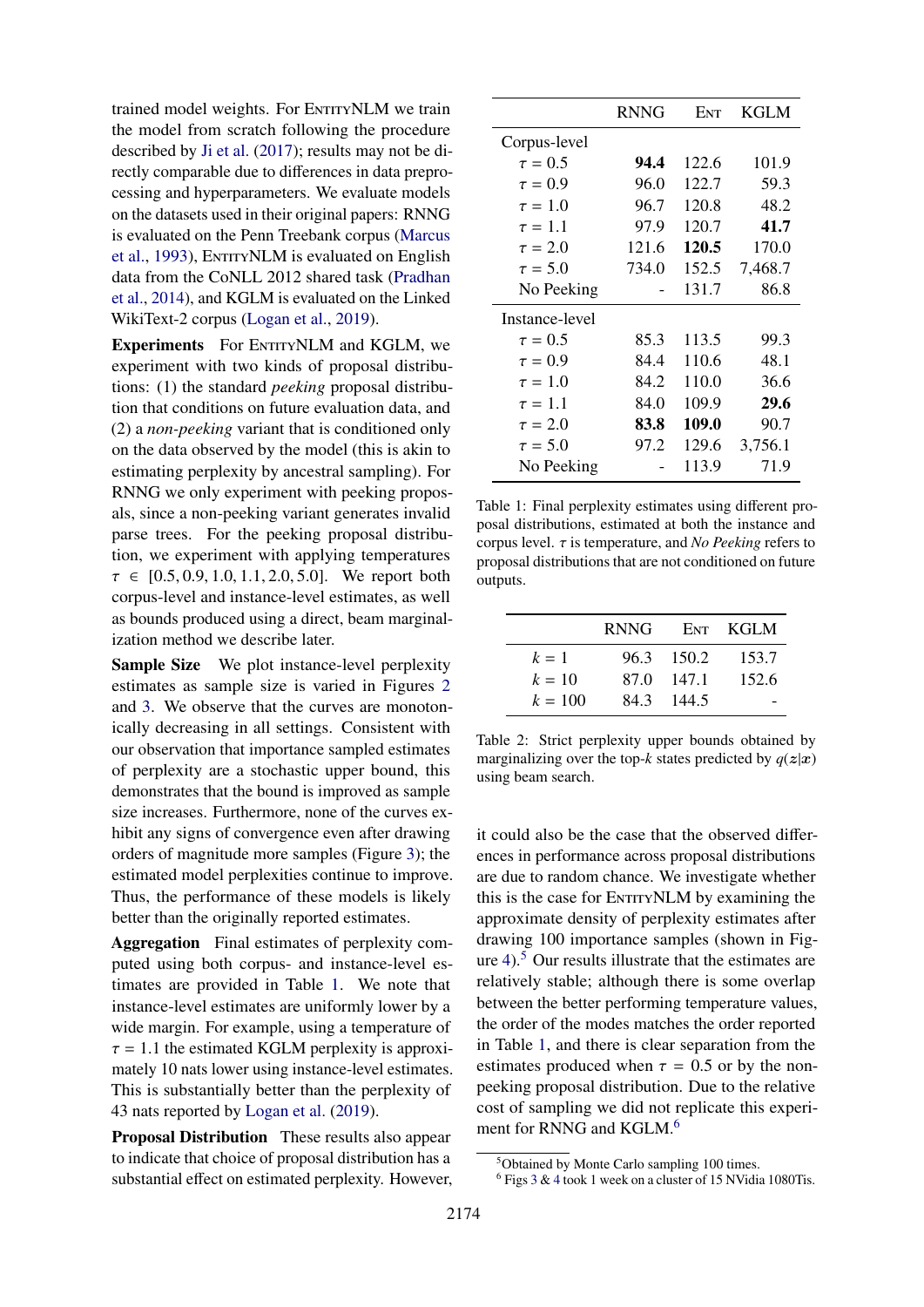trained model weights. For ENTITYNLM we train the model from scratch following the procedure described by [Ji et al.](#page-5-2) [\(2017\)](#page-5-2); results may not be directly comparable due to differences in data preprocessing and hyperparameters. We evaluate models on the datasets used in their original papers: RNNG is evaluated on the Penn Treebank corpus [\(Marcus](#page-5-11) [et al.,](#page-5-11) [1993\)](#page-5-11), ENTITYNLM is evaluated on English data from the CoNLL 2012 shared task [\(Pradhan](#page-5-12) [et al.,](#page-5-12) [2014\)](#page-5-12), and KGLM is evaluated on the Linked WikiText-2 corpus [\(Logan et al.,](#page-5-4) [2019\)](#page-5-4).

Experiments For ENTITYNLM and KGLM, we experiment with two kinds of proposal distributions: (1) the standard *peeking* proposal distribution that conditions on future evaluation data, and (2) a *non-peeking* variant that is conditioned only on the data observed by the model (this is akin to estimating perplexity by ancestral sampling). For RNNG we only experiment with peeking proposals, since a non-peeking variant generates invalid parse trees. For the peeking proposal distribution, we experiment with applying temperatures  $\tau \in [0.5, 0.9, 1.0, 1.1, 2.0, 5.0]$ . We report both corpus-level and instance-level estimates, as well as bounds produced using a direct, beam marginalization method we describe later.

Sample Size We plot instance-level perplexity estimates as sample size is varied in Figures [2](#page-2-5) and [3.](#page-4-0) We observe that the curves are monotonically decreasing in all settings. Consistent with our observation that importance sampled estimates of perplexity are a stochastic upper bound, this demonstrates that the bound is improved as sample size increases. Furthermore, none of the curves exhibit any signs of convergence even after drawing orders of magnitude more samples (Figure [3\)](#page-4-0); the estimated model perplexities continue to improve. Thus, the performance of these models is likely better than the originally reported estimates.

Aggregation Final estimates of perplexity computed using both corpus- and instance-level estimates are provided in Table [1.](#page-3-0) We note that instance-level estimates are uniformly lower by a wide margin. For example, using a temperature of  $\tau = 1.1$  the estimated KGLM perplexity is approximately 10 nats lower using instance-level estimates. This is substantially better than the perplexity of 43 nats reported by [Logan et al.](#page-5-4) [\(2019\)](#page-5-4).

Proposal Distribution These results also appear to indicate that choice of proposal distribution has a substantial effect on estimated perplexity. However,

<span id="page-3-0"></span>

|                | <b>RNNG</b> | ENT   | <b>KGLM</b> |
|----------------|-------------|-------|-------------|
| Corpus-level   |             |       |             |
| $\tau = 0.5$   | 94.4        | 122.6 | 101.9       |
| $\tau = 0.9$   | 96.0        | 122.7 | 59.3        |
| $\tau = 1.0$   | 96.7        | 120.8 | 48.2        |
| $\tau = 1.1$   | 97.9        | 120.7 | 41.7        |
| $\tau = 2.0$   | 121.6       | 120.5 | 170.0       |
| $\tau = 5.0$   | 734.0       | 152.5 | 7,468.7     |
| No Peeking     |             | 131.7 | 86.8        |
| Instance-level |             |       |             |
| $\tau = 0.5$   | 85.3        | 113.5 | 99.3        |
| $\tau = 0.9$   | 84.4        | 110.6 | 48.1        |
| $\tau = 1.0$   | 84.2        | 110.0 | 36.6        |
| $\tau = 1.1$   | 84.0        | 109.9 | 29.6        |
| $\tau = 2.0$   | 83.8        | 109.0 | 90.7        |
| $\tau = 5.0$   | 97.2        | 129.6 | 3,756.1     |
| No Peeking     |             | 113.9 | 71.9        |

Table 1: Final perplexity estimates using different proposal distributions, estimated at both the instance and corpus level. τ is temperature, and *No Peeking* refers to proposal distributions that are not conditioned on future outputs.

<span id="page-3-3"></span>

|           | <b>RNNG</b> | Ent        | - KGLM |
|-----------|-------------|------------|--------|
| $k=1$     |             | 96.3 150.2 | 153.7  |
| $k = 10$  | 87.0        | 147.1      | 152.6  |
| $k = 100$ | 84.3        | 144.5      |        |

Table 2: Strict perplexity upper bounds obtained by marginalizing over the top- $k$  states predicted by  $q(z|x)$ using beam search.

it could also be the case that the observed differences in performance across proposal distributions are due to random chance. We investigate whether this is the case for EntityNLM by examining the approximate density of perplexity estimates after drawing 100 importance samples (shown in Figure  $4$ ).<sup>[5](#page-3-1)</sup> Our results illustrate that the estimates are relatively stable; although there is some overlap between the better performing temperature values, the order of the modes matches the order reported in Table [1,](#page-3-0) and there is clear separation from the estimates produced when  $\tau = 0.5$  or by the nonpeeking proposal distribution. Due to the relative cost of sampling we did not replicate this experi-ment for RNNG and KGLM.<sup>[6](#page-3-2)</sup>

<span id="page-3-1"></span><sup>5</sup>Obtained by Monte Carlo sampling 100 times.

<span id="page-3-2"></span><sup>6</sup> Figs [3](#page-4-0) & [4](#page-4-1) took 1 week on a cluster of 15 NVidia 1080Tis.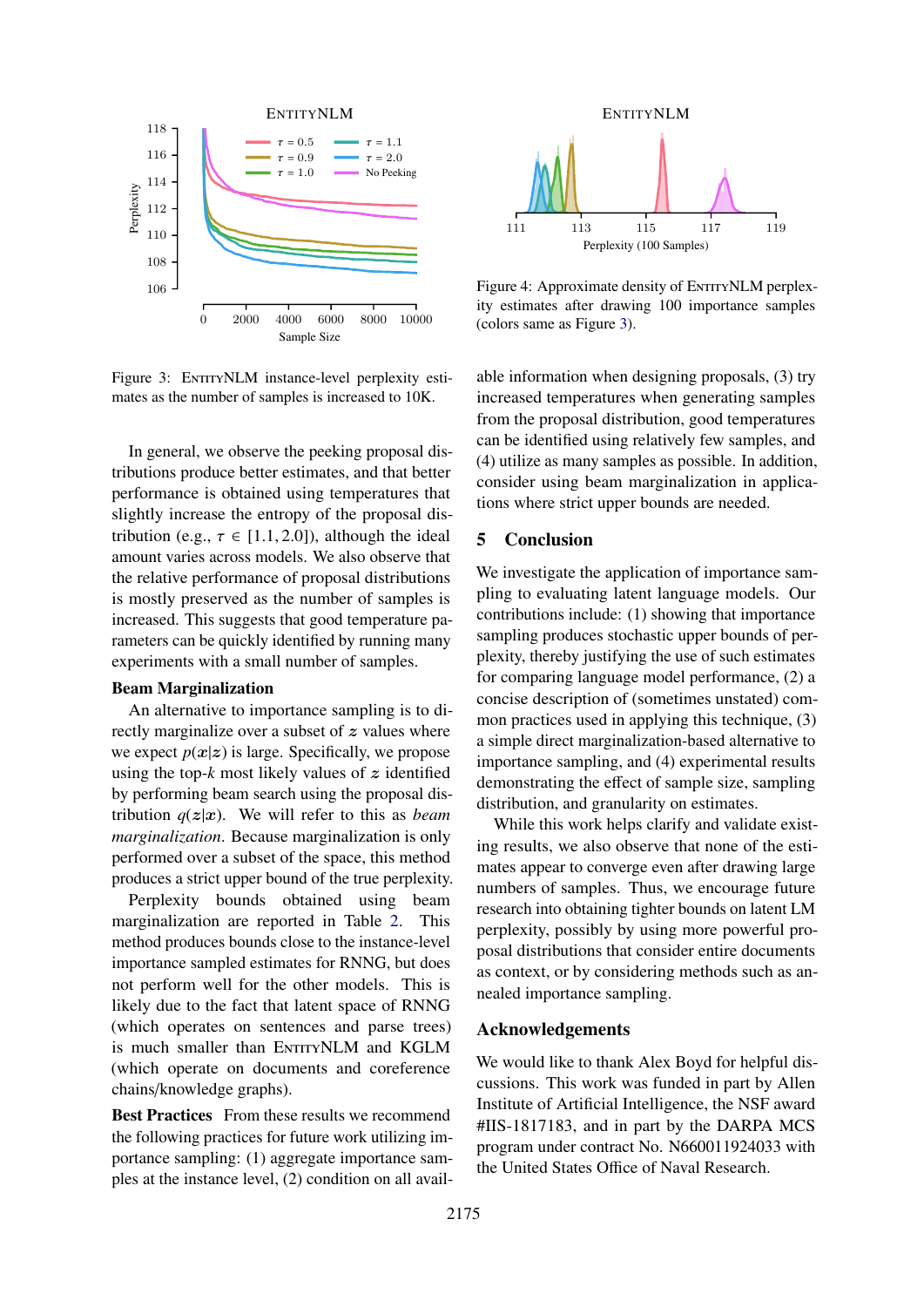<span id="page-4-0"></span>

Figure 3: ENTITYNLM instance-level perplexity estimates as the number of samples is increased to 10K.

In general, we observe the peeking proposal distributions produce better estimates, and that better performance is obtained using temperatures that slightly increase the entropy of the proposal distribution (e.g.,  $\tau \in [1.1, 2.0]$ ), although the ideal amount varies across models. We also observe that the relative performance of proposal distributions is mostly preserved as the number of samples is increased. This suggests that good temperature parameters can be quickly identified by running many experiments with a small number of samples.

## Beam Marginalization

An alternative to importance sampling is to directly marginalize over a subset of z values where we expect  $p(x|z)$  is large. Specifically, we propose using the top- $k$  most likely values of  $z$  identified by performing beam search using the proposal distribution  $q(z|x)$ . We will refer to this as *beam marginalization*. Because marginalization is only performed over a subset of the space, this method produces a strict upper bound of the true perplexity.

Perplexity bounds obtained using beam marginalization are reported in Table [2.](#page-3-3) This method produces bounds close to the instance-level importance sampled estimates for RNNG, but does not perform well for the other models. This is likely due to the fact that latent space of RNNG (which operates on sentences and parse trees) is much smaller than ENTITYNLM and KGLM (which operate on documents and coreference chains/knowledge graphs).

Best Practices From these results we recommend the following practices for future work utilizing importance sampling: (1) aggregate importance samples at the instance level, (2) condition on all avail-

<span id="page-4-1"></span>

Figure 4: Approximate density of ENTITYNLM perplexity estimates after drawing 100 importance samples (colors same as Figure [3\)](#page-4-0).

able information when designing proposals, (3) try increased temperatures when generating samples from the proposal distribution, good temperatures can be identified using relatively few samples, and (4) utilize as many samples as possible. In addition, consider using beam marginalization in applications where strict upper bounds are needed.

# 5 Conclusion

We investigate the application of importance sampling to evaluating latent language models. Our contributions include: (1) showing that importance sampling produces stochastic upper bounds of perplexity, thereby justifying the use of such estimates for comparing language model performance, (2) a concise description of (sometimes unstated) common practices used in applying this technique, (3) a simple direct marginalization-based alternative to importance sampling, and (4) experimental results demonstrating the effect of sample size, sampling distribution, and granularity on estimates.

While this work helps clarify and validate existing results, we also observe that none of the estimates appear to converge even after drawing large numbers of samples. Thus, we encourage future research into obtaining tighter bounds on latent LM perplexity, possibly by using more powerful proposal distributions that consider entire documents as context, or by considering methods such as annealed importance sampling.

# Acknowledgements

We would like to thank Alex Boyd for helpful discussions. This work was funded in part by Allen Institute of Artificial Intelligence, the NSF award #IIS-1817183, and in part by the DARPA MCS program under contract No. N660011924033 with the United States Office of Naval Research.